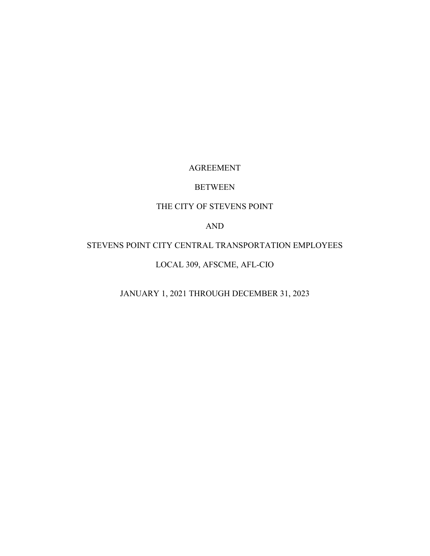#### AGREEMENT

## BETWEEN

## THE CITY OF STEVENS POINT

AND

# STEVENS POINT CITY CENTRAL TRANSPORTATION EMPLOYEES

## LOCAL 309, AFSCME, AFL-CIO

JANUARY 1, 2021 THROUGH DECEMBER 31, 2023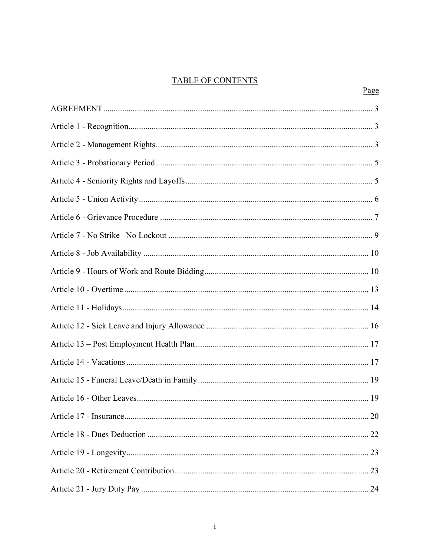## **TABLE OF CONTENTS**

| Page |
|------|
|      |
|      |
|      |
|      |
|      |
|      |
|      |
|      |
|      |
|      |
|      |
|      |
|      |
|      |
|      |
|      |
|      |
|      |
|      |
|      |
|      |
|      |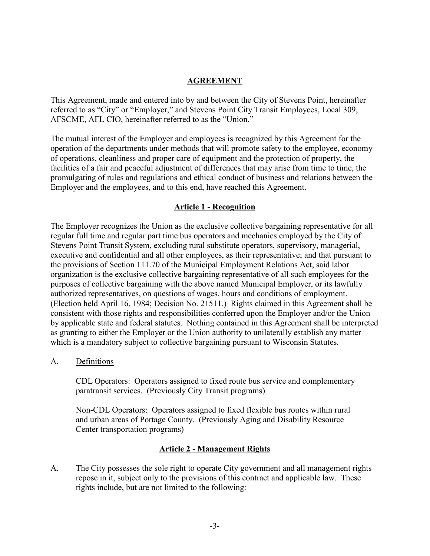## <span id="page-3-0"></span>**AGREEMENT**

This Agreement, made and entered into by and between the City of Stevens Point, hereinafter referred to as "City" or "Employer," and Stevens Point City Transit Employees, Local 309, AFSCME, AFL CIO, hereinafter referred to as the "Union."

The mutual interest of the Employer and employees is recognized by this Agreement for the operation of the departments under methods that will promote safety to the employee, economy of operations, cleanliness and proper care of equipment and the protection of property, the facilities of a fair and peaceful adjustment of differences that may arise from time to time, the promulgating of rules and regulations and ethical conduct of business and relations between the Employer and the employees, and to this end, have reached this Agreement.

## <span id="page-3-1"></span>**Article 1 - Recognition**

The Employer recognizes the Union as the exclusive collective bargaining representative for all regular full time and regular part time bus operators and mechanics employed by the City of Stevens Point Transit System, excluding rural substitute operators, supervisory, managerial, executive and confidential and all other employees, as their representative; and that pursuant to the provisions of Section 111.70 of the Municipal Employment Relations Act, said labor organization is the exclusive collective bargaining representative of all such employees for the purposes of collective bargaining with the above named Municipal Employer, or its lawfully authorized representatives, on questions of wages, hours and conditions of employment. (Election held April 16, 1984; Decision No. 21511.) Rights claimed in this Agreement shall be consistent with those rights and responsibilities conferred upon the Employer and/or the Union by applicable state and federal statutes. Nothing contained in this Agreement shall be interpreted as granting to either the Employer or the Union authority to unilaterally establish any matter which is a mandatory subject to collective bargaining pursuant to Wisconsin Statutes.

A. Definitions

CDL Operators: Operators assigned to fixed route bus service and complementary paratransit services. (Previously City Transit programs)

Non-CDL Operators: Operators assigned to fixed flexible bus routes within rural and urban areas of Portage County. (Previously Aging and Disability Resource Center transportation programs)

### <span id="page-3-2"></span>**Article 2 - Management Rights**

A. The City possesses the sole right to operate City government and all management rights repose in it, subject only to the provisions of this contract and applicable law. These rights include, but are not limited to the following: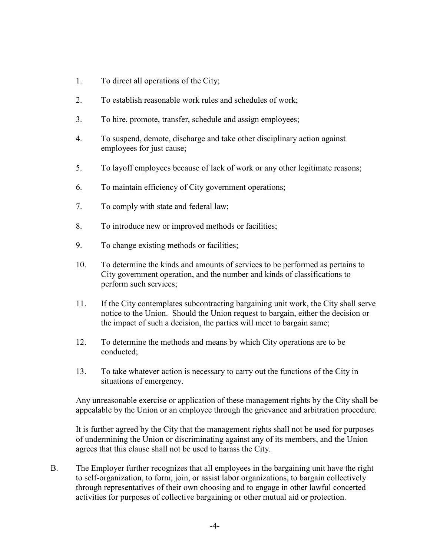- 1. To direct all operations of the City;
- 2. To establish reasonable work rules and schedules of work;
- 3. To hire, promote, transfer, schedule and assign employees;
- 4. To suspend, demote, discharge and take other disciplinary action against employees for just cause;
- 5. To layoff employees because of lack of work or any other legitimate reasons;
- 6. To maintain efficiency of City government operations;
- 7. To comply with state and federal law;
- 8. To introduce new or improved methods or facilities;
- 9. To change existing methods or facilities;
- 10. To determine the kinds and amounts of services to be performed as pertains to City government operation, and the number and kinds of classifications to perform such services;
- 11. If the City contemplates subcontracting bargaining unit work, the City shall serve notice to the Union. Should the Union request to bargain, either the decision or the impact of such a decision, the parties will meet to bargain same;
- 12. To determine the methods and means by which City operations are to be conducted;
- 13. To take whatever action is necessary to carry out the functions of the City in situations of emergency.

Any unreasonable exercise or application of these management rights by the City shall be appealable by the Union or an employee through the grievance and arbitration procedure.

It is further agreed by the City that the management rights shall not be used for purposes of undermining the Union or discriminating against any of its members, and the Union agrees that this clause shall not be used to harass the City.

B. The Employer further recognizes that all employees in the bargaining unit have the right to self-organization, to form, join, or assist labor organizations, to bargain collectively through representatives of their own choosing and to engage in other lawful concerted activities for purposes of collective bargaining or other mutual aid or protection.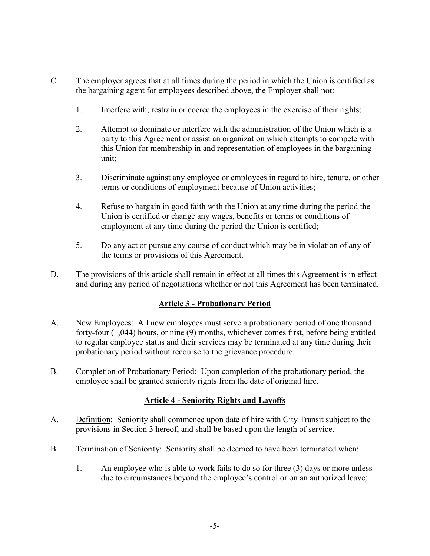- C. The employer agrees that at all times during the period in which the Union is certified as the bargaining agent for employees described above, the Employer shall not:
	- 1. Interfere with, restrain or coerce the employees in the exercise of their rights;
	- 2. Attempt to dominate or interfere with the administration of the Union which is a party to this Agreement or assist an organization which attempts to compete with this Union for membership in and representation of employees in the bargaining unit;
	- 3. Discriminate against any employee or employees in regard to hire, tenure, or other terms or conditions of employment because of Union activities;
	- 4. Refuse to bargain in good faith with the Union at any time during the period the Union is certified or change any wages, benefits or terms or conditions of employment at any time during the period the Union is certified;
	- 5. Do any act or pursue any course of conduct which may be in violation of any of the terms or provisions of this Agreement.
- D. The provisions of this article shall remain in effect at all times this Agreement is in effect and during any period of negotiations whether or not this Agreement has been terminated.

## <span id="page-5-0"></span>**Article 3 - Probationary Period**

- A. New Employees: All new employees must serve a probationary period of one thousand forty-four (1,044) hours, or nine (9) months, whichever comes first, before being entitled to regular employee status and their services may be terminated at any time during their probationary period without recourse to the grievance procedure.
- B. Completion of Probationary Period: Upon completion of the probationary period, the employee shall be granted seniority rights from the date of original hire.

### <span id="page-5-1"></span>**Article 4 - Seniority Rights and Layoffs**

- A. Definition: Seniority shall commence upon date of hire with City Transit subject to the provisions in Section 3 hereof, and shall be based upon the length of service.
- B. Termination of Seniority: Seniority shall be deemed to have been terminated when:
	- 1. An employee who is able to work fails to do so for three (3) days or more unless due to circumstances beyond the employee's control or on an authorized leave;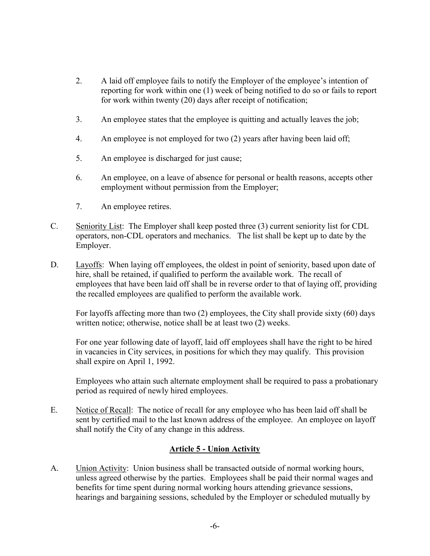- 2. A laid off employee fails to notify the Employer of the employee's intention of reporting for work within one (1) week of being notified to do so or fails to report for work within twenty (20) days after receipt of notification;
- 3. An employee states that the employee is quitting and actually leaves the job;
- 4. An employee is not employed for two (2) years after having been laid off;
- 5. An employee is discharged for just cause;
- 6. An employee, on a leave of absence for personal or health reasons, accepts other employment without permission from the Employer;
- 7. An employee retires.
- C. Seniority List: The Employer shall keep posted three (3) current seniority list for CDL operators, non-CDL operators and mechanics. The list shall be kept up to date by the Employer.
- D. Layoffs: When laying off employees, the oldest in point of seniority, based upon date of hire, shall be retained, if qualified to perform the available work. The recall of employees that have been laid off shall be in reverse order to that of laying off, providing the recalled employees are qualified to perform the available work.

For layoffs affecting more than two (2) employees, the City shall provide sixty (60) days written notice; otherwise, notice shall be at least two (2) weeks.

For one year following date of layoff, laid off employees shall have the right to be hired in vacancies in City services, in positions for which they may qualify. This provision shall expire on April 1, 1992.

Employees who attain such alternate employment shall be required to pass a probationary period as required of newly hired employees.

E. Notice of Recall: The notice of recall for any employee who has been laid off shall be sent by certified mail to the last known address of the employee. An employee on layoff shall notify the City of any change in this address.

### <span id="page-6-0"></span>**Article 5 - Union Activity**

A. Union Activity: Union business shall be transacted outside of normal working hours, unless agreed otherwise by the parties. Employees shall be paid their normal wages and benefits for time spent during normal working hours attending grievance sessions, hearings and bargaining sessions, scheduled by the Employer or scheduled mutually by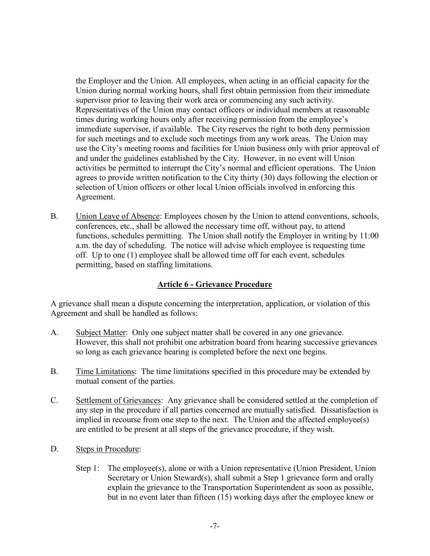the Employer and the Union. All employees, when acting in an official capacity for the Union during normal working hours, shall first obtain permission from their immediate supervisor prior to leaving their work area or commencing any such activity. Representatives of the Union may contact officers or individual members at reasonable times during working hours only after receiving permission from the employee's immediate supervisor, if available. The City reserves the right to both deny permission for such meetings and to exclude such meetings from any work areas. The Union may use the City's meeting rooms and facilities for Union business only with prior approval of and under the guidelines established by the City. However, in no event will Union activities be permitted to interrupt the City's normal and efficient operations. The Union agrees to provide written notification to the City thirty (30) days following the election or selection of Union officers or other local Union officials involved in enforcing this Agreement.

B. Union Leave of Absence: Employees chosen by the Union to attend conventions, schools, conferences, etc., shall be allowed the necessary time off, without pay, to attend functions, schedules permitting. The Union shall notify the Employer in writing by 11:00 a.m. the day of scheduling. The notice will advise which employee is requesting time off. Up to one (1) employee shall be allowed time off for each event, schedules permitting, based on staffing limitations.

### <span id="page-7-0"></span>**Article 6 - Grievance Procedure**

A grievance shall mean a dispute concerning the interpretation, application, or violation of this Agreement and shall be handled as follows:

- A. Subject Matter: Only one subject matter shall be covered in any one grievance. However, this shall not prohibit one arbitration board from hearing successive grievances so long as each grievance hearing is completed before the next one begins.
- B. Time Limitations: The time limitations specified in this procedure may be extended by mutual consent of the parties.
- C. Settlement of Grievances: Any grievance shall be considered settled at the completion of any step in the procedure if all parties concerned are mutually satisfied. Dissatisfaction is implied in recourse from one step to the next. The Union and the affected employee(s) are entitled to be present at all steps of the grievance procedure, if they wish.
- D. Steps in Procedure:
	- Step 1: The employee(s), alone or with a Union representative (Union President, Union Secretary or Union Steward(s), shall submit a Step 1 grievance form and orally explain the grievance to the Transportation Superintendent as soon as possible, but in no event later than fifteen (15) working days after the employee knew or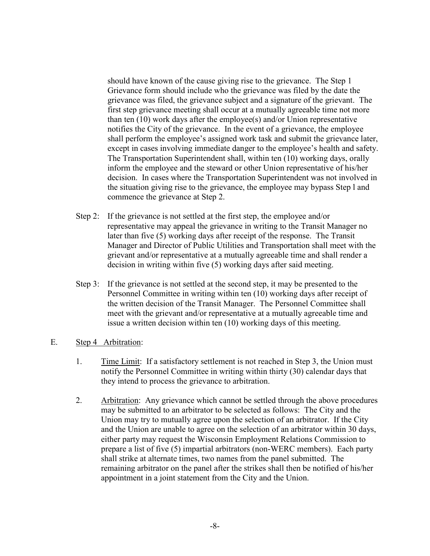should have known of the cause giving rise to the grievance. The Step 1 Grievance form should include who the grievance was filed by the date the grievance was filed, the grievance subject and a signature of the grievant. The first step grievance meeting shall occur at a mutually agreeable time not more than ten (10) work days after the employee(s) and/or Union representative notifies the City of the grievance. In the event of a grievance, the employee shall perform the employee's assigned work task and submit the grievance later, except in cases involving immediate danger to the employee's health and safety. The Transportation Superintendent shall, within ten (10) working days, orally inform the employee and the steward or other Union representative of his/her decision. In cases where the Transportation Superintendent was not involved in the situation giving rise to the grievance, the employee may bypass Step l and commence the grievance at Step 2.

- Step 2: If the grievance is not settled at the first step, the employee and/or representative may appeal the grievance in writing to the Transit Manager no later than five (5) working days after receipt of the response. The Transit Manager and Director of Public Utilities and Transportation shall meet with the grievant and/or representative at a mutually agreeable time and shall render a decision in writing within five (5) working days after said meeting.
- Step 3: If the grievance is not settled at the second step, it may be presented to the Personnel Committee in writing within ten (10) working days after receipt of the written decision of the Transit Manager. The Personnel Committee shall meet with the grievant and/or representative at a mutually agreeable time and issue a written decision within ten (10) working days of this meeting.
- E. Step 4 Arbitration:
	- 1. Time Limit: If a satisfactory settlement is not reached in Step 3, the Union must notify the Personnel Committee in writing within thirty (30) calendar days that they intend to process the grievance to arbitration.
	- 2. Arbitration: Any grievance which cannot be settled through the above procedures may be submitted to an arbitrator to be selected as follows: The City and the Union may try to mutually agree upon the selection of an arbitrator. If the City and the Union are unable to agree on the selection of an arbitrator within 30 days, either party may request the Wisconsin Employment Relations Commission to prepare a list of five (5) impartial arbitrators (non-WERC members). Each party shall strike at alternate times, two names from the panel submitted. The remaining arbitrator on the panel after the strikes shall then be notified of his/her appointment in a joint statement from the City and the Union.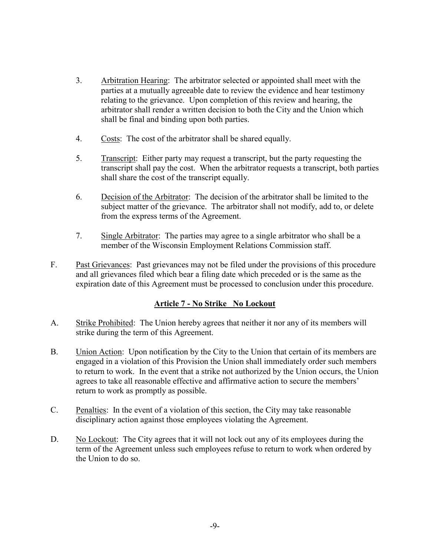- 3. Arbitration Hearing: The arbitrator selected or appointed shall meet with the parties at a mutually agreeable date to review the evidence and hear testimony relating to the grievance. Upon completion of this review and hearing, the arbitrator shall render a written decision to both the City and the Union which shall be final and binding upon both parties.
- 4. Costs: The cost of the arbitrator shall be shared equally.
- 5. Transcript: Either party may request a transcript, but the party requesting the transcript shall pay the cost. When the arbitrator requests a transcript, both parties shall share the cost of the transcript equally.
- 6. Decision of the Arbitrator: The decision of the arbitrator shall be limited to the subject matter of the grievance. The arbitrator shall not modify, add to, or delete from the express terms of the Agreement.
- 7. Single Arbitrator: The parties may agree to a single arbitrator who shall be a member of the Wisconsin Employment Relations Commission staff.
- F. Past Grievances: Past grievances may not be filed under the provisions of this procedure and all grievances filed which bear a filing date which preceded or is the same as the expiration date of this Agreement must be processed to conclusion under this procedure.

### <span id="page-9-0"></span>**Article 7 - No Strike No Lockout**

- A. Strike Prohibited: The Union hereby agrees that neither it nor any of its members will strike during the term of this Agreement.
- B. Union Action: Upon notification by the City to the Union that certain of its members are engaged in a violation of this Provision the Union shall immediately order such members to return to work. In the event that a strike not authorized by the Union occurs, the Union agrees to take all reasonable effective and affirmative action to secure the members' return to work as promptly as possible.
- C. Penalties: In the event of a violation of this section, the City may take reasonable disciplinary action against those employees violating the Agreement.
- D. No Lockout: The City agrees that it will not lock out any of its employees during the term of the Agreement unless such employees refuse to return to work when ordered by the Union to do so.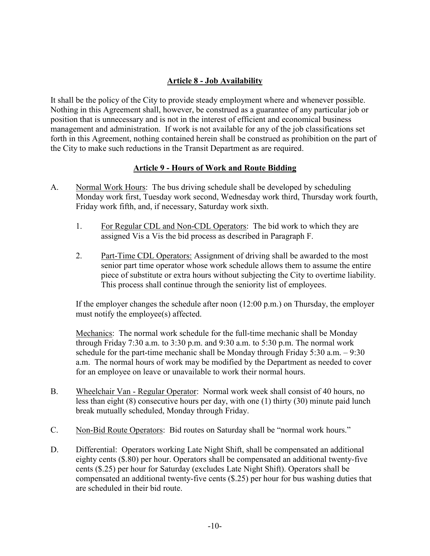## <span id="page-10-1"></span><span id="page-10-0"></span>**Article 8 - Job Availability**

It shall be the policy of the City to provide steady employment where and whenever possible. Nothing in this Agreement shall, however, be construed as a guarantee of any particular job or position that is unnecessary and is not in the interest of efficient and economical business management and administration. If work is not available for any of the job classifications set forth in this Agreement, nothing contained herein shall be construed as prohibition on the part of the City to make such reductions in the Transit Department as are required.

### **Article 9 - Hours of Work and Route Bidding**

- A. Normal Work Hours: The bus driving schedule shall be developed by scheduling Monday work first, Tuesday work second, Wednesday work third, Thursday work fourth, Friday work fifth, and, if necessary, Saturday work sixth.
	- 1. For Regular CDL and Non-CDL Operators: The bid work to which they are assigned Vis a Vis the bid process as described in Paragraph F.
	- 2. Part-Time CDL Operators: Assignment of driving shall be awarded to the most senior part time operator whose work schedule allows them to assume the entire piece of substitute or extra hours without subjecting the City to overtime liability. This process shall continue through the seniority list of employees.

If the employer changes the schedule after noon (12:00 p.m.) on Thursday, the employer must notify the employee(s) affected.

Mechanics: The normal work schedule for the full-time mechanic shall be Monday through Friday 7:30 a.m. to 3:30 p.m. and 9:30 a.m. to 5:30 p.m. The normal work schedule for the part-time mechanic shall be Monday through Friday 5:30 a.m. – 9:30 a.m. The normal hours of work may be modified by the Department as needed to cover for an employee on leave or unavailable to work their normal hours.

- B. Wheelchair Van Regular Operator: Normal work week shall consist of 40 hours, no less than eight (8) consecutive hours per day, with one (1) thirty (30) minute paid lunch break mutually scheduled, Monday through Friday.
- C. Non-Bid Route Operators: Bid routes on Saturday shall be "normal work hours."
- D. Differential: Operators working Late Night Shift, shall be compensated an additional eighty cents (\$.80) per hour. Operators shall be compensated an additional twenty-five cents (\$.25) per hour for Saturday (excludes Late Night Shift). Operators shall be compensated an additional twenty-five cents (\$.25) per hour for bus washing duties that are scheduled in their bid route.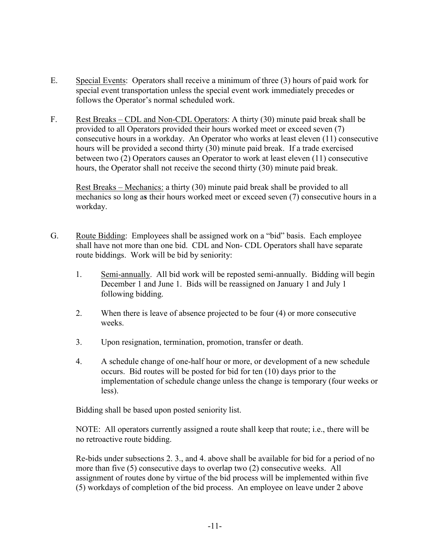- E. Special Events: Operators shall receive a minimum of three (3) hours of paid work for special event transportation unless the special event work immediately precedes or follows the Operator's normal scheduled work.
- F. Rest Breaks CDL and Non-CDL Operators: A thirty (30) minute paid break shall be provided to all Operators provided their hours worked meet or exceed seven (7) consecutive hours in a workday. An Operator who works at least eleven (11) consecutive hours will be provided a second thirty (30) minute paid break. If a trade exercised between two (2) Operators causes an Operator to work at least eleven (11) consecutive hours, the Operator shall not receive the second thirty (30) minute paid break.

Rest Breaks – Mechanics: a thirty (30) minute paid break shall be provided to all mechanics so long a**s** their hours worked meet or exceed seven (7) consecutive hours in a workday.

- G. Route Bidding: Employees shall be assigned work on a "bid" basis. Each employee shall have not more than one bid. CDL and Non- CDL Operators shall have separate route biddings. Work will be bid by seniority:
	- 1. Semi-annually. All bid work will be reposted semi-annually. Bidding will begin December 1 and June 1. Bids will be reassigned on January 1 and July 1 following bidding.
	- 2. When there is leave of absence projected to be four (4) or more consecutive weeks.
	- 3. Upon resignation, termination, promotion, transfer or death.
	- 4. A schedule change of one-half hour or more, or development of a new schedule occurs. Bid routes will be posted for bid for ten (10) days prior to the implementation of schedule change unless the change is temporary (four weeks or less).

Bidding shall be based upon posted seniority list.

NOTE: All operators currently assigned a route shall keep that route; i.e., there will be no retroactive route bidding.

Re-bids under subsections 2. 3., and 4. above shall be available for bid for a period of no more than five (5) consecutive days to overlap two (2) consecutive weeks. All assignment of routes done by virtue of the bid process will be implemented within five (5) workdays of completion of the bid process. An employee on leave under 2 above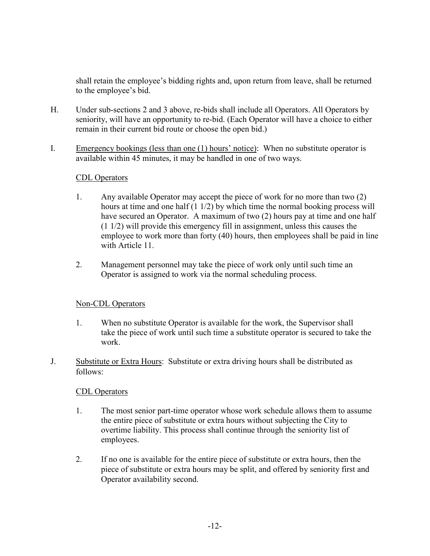shall retain the employee's bidding rights and, upon return from leave, shall be returned to the employee's bid.

- H. Under sub-sections 2 and 3 above, re-bids shall include all Operators. All Operators by seniority, will have an opportunity to re-bid. (Each Operator will have a choice to either remain in their current bid route or choose the open bid.)
- I. Emergency bookings (less than one (1) hours' notice): When no substitute operator is available within 45 minutes, it may be handled in one of two ways.

### CDL Operators

- 1. Any available Operator may accept the piece of work for no more than two (2) hours at time and one half (1 1/2) by which time the normal booking process will have secured an Operator. A maximum of two (2) hours pay at time and one half (1 1/2) will provide this emergency fill in assignment, unless this causes the employee to work more than forty (40) hours, then employees shall be paid in line with Article 11.
- 2. Management personnel may take the piece of work only until such time an Operator is assigned to work via the normal scheduling process.

#### Non-CDL Operators

- 1. When no substitute Operator is available for the work, the Supervisor shall take the piece of work until such time a substitute operator is secured to take the work.
- J. Substitute or Extra Hours: Substitute or extra driving hours shall be distributed as follows:

#### CDL Operators

- 1. The most senior part-time operator whose work schedule allows them to assume the entire piece of substitute or extra hours without subjecting the City to overtime liability. This process shall continue through the seniority list of employees.
- 2. If no one is available for the entire piece of substitute or extra hours, then the piece of substitute or extra hours may be split, and offered by seniority first and Operator availability second.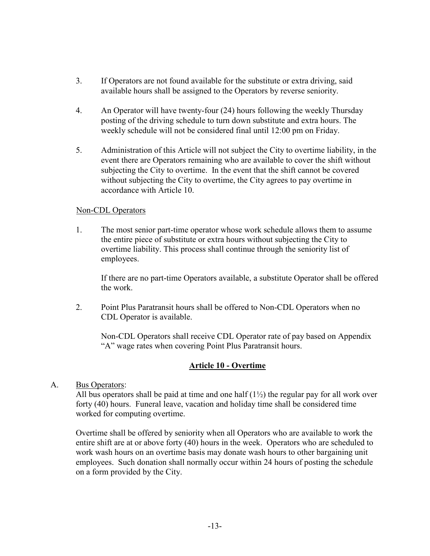- 3. If Operators are not found available for the substitute or extra driving, said available hours shall be assigned to the Operators by reverse seniority.
- 4. An Operator will have twenty-four (24) hours following the weekly Thursday posting of the driving schedule to turn down substitute and extra hours. The weekly schedule will not be considered final until 12:00 pm on Friday.
- 5. Administration of this Article will not subject the City to overtime liability, in the event there are Operators remaining who are available to cover the shift without subjecting the City to overtime. In the event that the shift cannot be covered without subjecting the City to overtime, the City agrees to pay overtime in accordance with Article 10.

#### Non-CDL Operators

1. The most senior part-time operator whose work schedule allows them to assume the entire piece of substitute or extra hours without subjecting the City to overtime liability. This process shall continue through the seniority list of employees.

If there are no part-time Operators available, a substitute Operator shall be offered the work.

2. Point Plus Paratransit hours shall be offered to Non-CDL Operators when no CDL Operator is available.

Non-CDL Operators shall receive CDL Operator rate of pay based on Appendix "A" wage rates when covering Point Plus Paratransit hours.

### <span id="page-13-0"></span>**Article 10 - Overtime**

A. Bus Operators:

All bus operators shall be paid at time and one half  $(1\frac{1}{2})$  the regular pay for all work over forty (40) hours. Funeral leave, vacation and holiday time shall be considered time worked for computing overtime.

Overtime shall be offered by seniority when all Operators who are available to work the entire shift are at or above forty (40) hours in the week. Operators who are scheduled to work wash hours on an overtime basis may donate wash hours to other bargaining unit employees. Such donation shall normally occur within 24 hours of posting the schedule on a form provided by the City.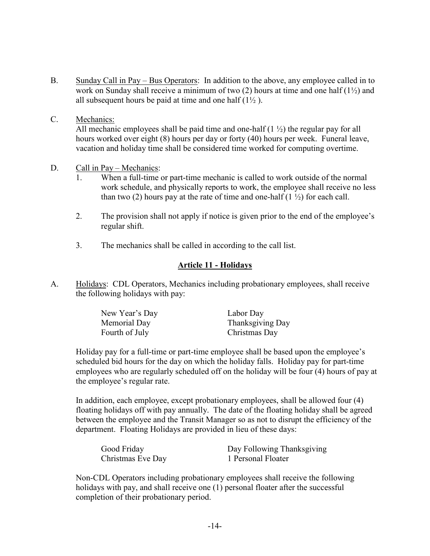- B. Sunday Call in Pay Bus Operators: In addition to the above, any employee called in to work on Sunday shall receive a minimum of two (2) hours at time and one half (1½) and all subsequent hours be paid at time and one half  $(1\frac{1}{2})$ .
- C. Mechanics:

All mechanic employees shall be paid time and one-half  $(1 \frac{1}{2})$  the regular pay for all hours worked over eight (8) hours per day or forty (40) hours per week. Funeral leave, vacation and holiday time shall be considered time worked for computing overtime.

- D. Call in Pay Mechanics:
	- 1. When a full-time or part-time mechanic is called to work outside of the normal work schedule, and physically reports to work, the employee shall receive no less than two (2) hours pay at the rate of time and one-half (1 $\frac{1}{2}$ ) for each call.
	- 2. The provision shall not apply if notice is given prior to the end of the employee's regular shift.
	- 3. The mechanics shall be called in according to the call list.

## <span id="page-14-0"></span>**Article 11 - Holidays**

A. Holidays: CDL Operators, Mechanics including probationary employees, shall receive the following holidays with pay:

| New Year's Day | Labor Day        |
|----------------|------------------|
| Memorial Day   | Thanksgiving Day |
| Fourth of July | Christmas Day    |

Holiday pay for a full-time or part-time employee shall be based upon the employee's scheduled bid hours for the day on which the holiday falls. Holiday pay for part-time employees who are regularly scheduled off on the holiday will be four (4) hours of pay at the employee's regular rate.

In addition, each employee, except probationary employees, shall be allowed four (4) floating holidays off with pay annually. The date of the floating holiday shall be agreed between the employee and the Transit Manager so as not to disrupt the efficiency of the department. Floating Holidays are provided in lieu of these days:

| Good Friday       | Day Following Thanksgiving |
|-------------------|----------------------------|
| Christmas Eve Day | 1 Personal Floater         |

Non-CDL Operators including probationary employees shall receive the following holidays with pay, and shall receive one (1) personal floater after the successful completion of their probationary period.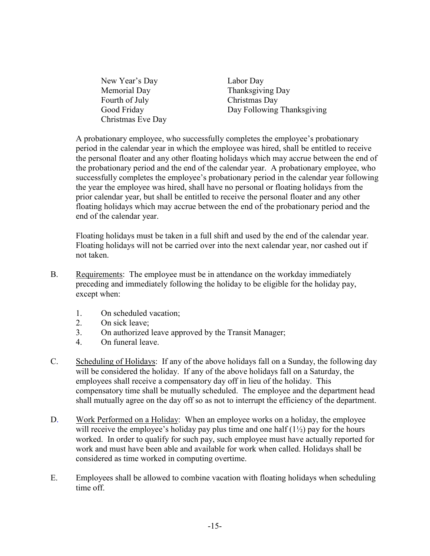New Year's Day Labor Day Memorial Day Thanksgiving Day Fourth of July Christmas Day Christmas Eve Day

Good Friday Day Following Thanksgiving

A probationary employee, who successfully completes the employee's probationary period in the calendar year in which the employee was hired, shall be entitled to receive the personal floater and any other floating holidays which may accrue between the end of the probationary period and the end of the calendar year. A probationary employee, who successfully completes the employee's probationary period in the calendar year following the year the employee was hired, shall have no personal or floating holidays from the prior calendar year, but shall be entitled to receive the personal floater and any other floating holidays which may accrue between the end of the probationary period and the end of the calendar year.

Floating holidays must be taken in a full shift and used by the end of the calendar year. Floating holidays will not be carried over into the next calendar year, nor cashed out if not taken.

- B. Requirements: The employee must be in attendance on the workday immediately preceding and immediately following the holiday to be eligible for the holiday pay, except when:
	- 1. On scheduled vacation;
	- 2. On sick leave;
	- 3. On authorized leave approved by the Transit Manager;
	- 4. On funeral leave.
- C. Scheduling of Holidays: If any of the above holidays fall on a Sunday, the following day will be considered the holiday. If any of the above holidays fall on a Saturday, the employees shall receive a compensatory day off in lieu of the holiday. This compensatory time shall be mutually scheduled. The employee and the department head shall mutually agree on the day off so as not to interrupt the efficiency of the department.
- D. Work Performed on a Holiday: When an employee works on a holiday, the employee will receive the employee's holiday pay plus time and one half  $(1\frac{1}{2})$  pay for the hours worked. In order to qualify for such pay, such employee must have actually reported for work and must have been able and available for work when called. Holidays shall be considered as time worked in computing overtime.
- E. Employees shall be allowed to combine vacation with floating holidays when scheduling time off.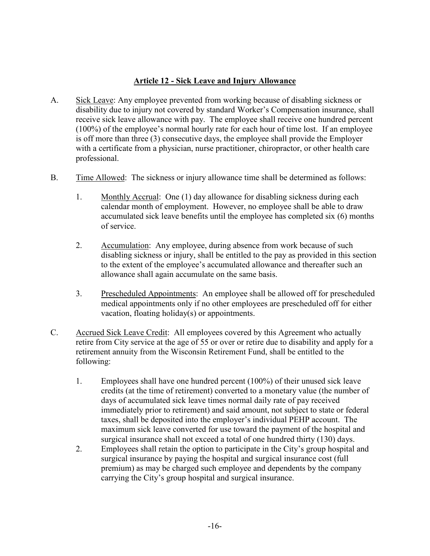## <span id="page-16-0"></span>**Article 12 - Sick Leave and Injury Allowance**

- A. Sick Leave: Any employee prevented from working because of disabling sickness or disability due to injury not covered by standard Worker's Compensation insurance, shall receive sick leave allowance with pay. The employee shall receive one hundred percent (100%) of the employee's normal hourly rate for each hour of time lost. If an employee is off more than three (3) consecutive days, the employee shall provide the Employer with a certificate from a physician, nurse practitioner, chiropractor, or other health care professional.
- B. Time Allowed: The sickness or injury allowance time shall be determined as follows:
	- 1. Monthly Accrual: One (1) day allowance for disabling sickness during each calendar month of employment. However, no employee shall be able to draw accumulated sick leave benefits until the employee has completed six (6) months of service.
	- 2. Accumulation: Any employee, during absence from work because of such disabling sickness or injury, shall be entitled to the pay as provided in this section to the extent of the employee's accumulated allowance and thereafter such an allowance shall again accumulate on the same basis.
	- 3. Prescheduled Appointments: An employee shall be allowed off for prescheduled medical appointments only if no other employees are prescheduled off for either vacation, floating holiday(s) or appointments.
- C. Accrued Sick Leave Credit: All employees covered by this Agreement who actually retire from City service at the age of 55 or over or retire due to disability and apply for a retirement annuity from the Wisconsin Retirement Fund, shall be entitled to the following:
	- 1. Employees shall have one hundred percent (100%) of their unused sick leave credits (at the time of retirement) converted to a monetary value (the number of days of accumulated sick leave times normal daily rate of pay received immediately prior to retirement) and said amount, not subject to state or federal taxes, shall be deposited into the employer's individual PEHP account. The maximum sick leave converted for use toward the payment of the hospital and surgical insurance shall not exceed a total of one hundred thirty (130) days.
	- 2. Employees shall retain the option to participate in the City's group hospital and surgical insurance by paying the hospital and surgical insurance cost (full premium) as may be charged such employee and dependents by the company carrying the City's group hospital and surgical insurance.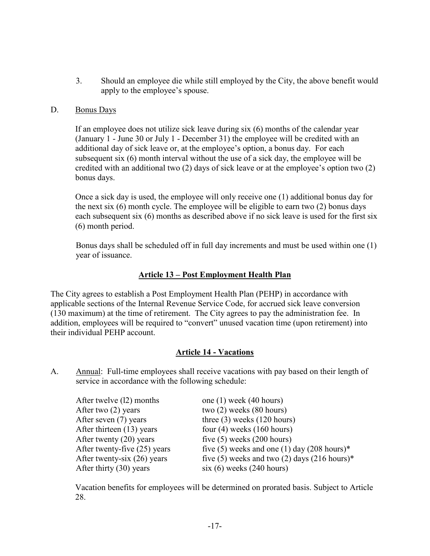3. Should an employee die while still employed by the City, the above benefit would apply to the employee's spouse.

#### D. Bonus Days

If an employee does not utilize sick leave during six (6) months of the calendar year (January 1 - June 30 or July 1 - December 31) the employee will be credited with an additional day of sick leave or, at the employee's option, a bonus day. For each subsequent six (6) month interval without the use of a sick day, the employee will be credited with an additional two (2) days of sick leave or at the employee's option two (2) bonus days.

Once a sick day is used, the employee will only receive one (1) additional bonus day for the next six (6) month cycle. The employee will be eligible to earn two (2) bonus days each subsequent six (6) months as described above if no sick leave is used for the first six (6) month period.

Bonus days shall be scheduled off in full day increments and must be used within one (1) year of issuance.

### **Article 13 – Post Employment Health Plan**

The City agrees to establish a Post Employment Health Plan (PEHP) in accordance with applicable sections of the Internal Revenue Service Code, for accrued sick leave conversion (130 maximum) at the time of retirement. The City agrees to pay the administration fee. In addition, employees will be required to "convert" unused vacation time (upon retirement) into their individual PEHP account.

### <span id="page-17-1"></span><span id="page-17-0"></span>**Article 14 - Vacations**

A. Annual: Full-time employees shall receive vacations with pay based on their length of service in accordance with the following schedule:

| After twelve (12) months      | one $(1)$ week $(40$ hours)                            |
|-------------------------------|--------------------------------------------------------|
| After two $(2)$ years         | two $(2)$ weeks $(80$ hours)                           |
| After seven (7) years         | three $(3)$ weeks $(120$ hours)                        |
| After thirteen (13) years     | four $(4)$ weeks $(160$ hours)                         |
| After twenty $(20)$ years     | five $(5)$ weeks $(200$ hours)                         |
| After twenty-five (25) years  | five (5) weeks and one (1) day $(208 \text{ hours})^*$ |
| After twenty-six $(26)$ years | five (5) weeks and two (2) days (216 hours)*           |
| After thirty $(30)$ years     | $six(6)$ weeks (240 hours)                             |

Vacation benefits for employees will be determined on prorated basis. Subject to Article 28.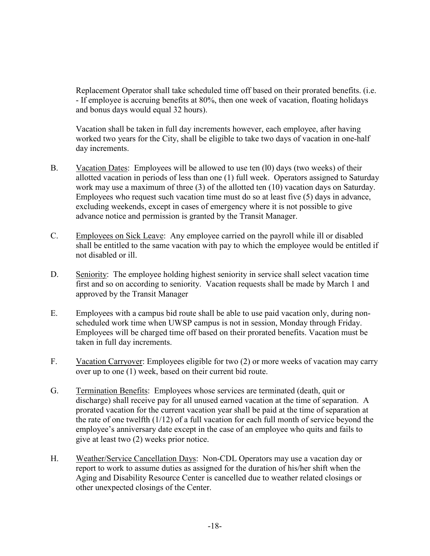Replacement Operator shall take scheduled time off based on their prorated benefits. (i.e. - If employee is accruing benefits at 80%, then one week of vacation, floating holidays and bonus days would equal 32 hours).

Vacation shall be taken in full day increments however, each employee, after having worked two years for the City, shall be eligible to take two days of vacation in one-half day increments.

- B. Vacation Dates: Employees will be allowed to use ten (l0) days (two weeks) of their allotted vacation in periods of less than one (1) full week. Operators assigned to Saturday work may use a maximum of three (3) of the allotted ten (10) vacation days on Saturday. Employees who request such vacation time must do so at least five (5) days in advance, excluding weekends, except in cases of emergency where it is not possible to give advance notice and permission is granted by the Transit Manager.
- C. Employees on Sick Leave: Any employee carried on the payroll while ill or disabled shall be entitled to the same vacation with pay to which the employee would be entitled if not disabled or ill.
- D. Seniority: The employee holding highest seniority in service shall select vacation time first and so on according to seniority. Vacation requests shall be made by March 1 and approved by the Transit Manager
- E. Employees with a campus bid route shall be able to use paid vacation only, during nonscheduled work time when UWSP campus is not in session, Monday through Friday. Employees will be charged time off based on their prorated benefits. Vacation must be taken in full day increments.
- F. Vacation Carryover: Employees eligible for two (2) or more weeks of vacation may carry over up to one (1) week, based on their current bid route.
- G. Termination Benefits: Employees whose services are terminated (death, quit or discharge) shall receive pay for all unused earned vacation at the time of separation. A prorated vacation for the current vacation year shall be paid at the time of separation at the rate of one twelfth (1/12) of a full vacation for each full month of service beyond the employee's anniversary date except in the case of an employee who quits and fails to give at least two (2) weeks prior notice.
- H. Weather/Service Cancellation Days: Non-CDL Operators may use a vacation day or report to work to assume duties as assigned for the duration of his/her shift when the Aging and Disability Resource Center is cancelled due to weather related closings or other unexpected closings of the Center.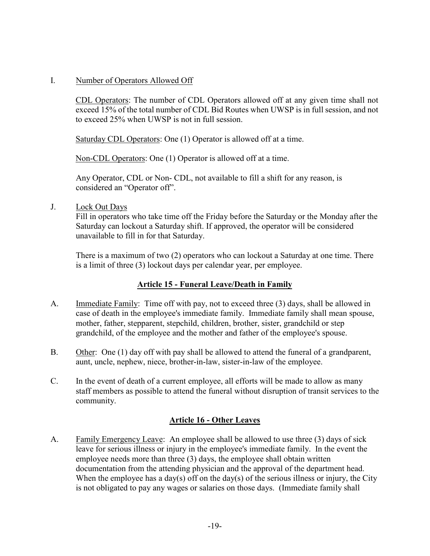#### I. Number of Operators Allowed Off

CDL Operators: The number of CDL Operators allowed off at any given time shall not exceed 15% of the total number of CDL Bid Routes when UWSP is in full session, and not to exceed 25% when UWSP is not in full session.

Saturday CDL Operators: One (1) Operator is allowed off at a time.

Non-CDL Operators: One (1) Operator is allowed off at a time.

Any Operator, CDL or Non- CDL, not available to fill a shift for any reason, is considered an "Operator off".

J. Lock Out Days

Fill in operators who take time off the Friday before the Saturday or the Monday after the Saturday can lockout a Saturday shift. If approved, the operator will be considered unavailable to fill in for that Saturday.

There is a maximum of two (2) operators who can lockout a Saturday at one time. There is a limit of three (3) lockout days per calendar year, per employee.

### <span id="page-19-0"></span>**Article 15 - Funeral Leave/Death in Family**

- A. Immediate Family: Time off with pay, not to exceed three (3) days, shall be allowed in case of death in the employee's immediate family. Immediate family shall mean spouse, mother, father, stepparent, stepchild, children, brother, sister, grandchild or step grandchild, of the employee and the mother and father of the employee's spouse.
- B. Other: One (1) day off with pay shall be allowed to attend the funeral of a grandparent, aunt, uncle, nephew, niece, brother-in-law, sister-in-law of the employee.
- C. In the event of death of a current employee, all efforts will be made to allow as many staff members as possible to attend the funeral without disruption of transit services to the community.

### <span id="page-19-1"></span>**Article 16 - Other Leaves**

A. Family Emergency Leave: An employee shall be allowed to use three (3) days of sick leave for serious illness or injury in the employee's immediate family. In the event the employee needs more than three (3) days, the employee shall obtain written documentation from the attending physician and the approval of the department head. When the employee has a day(s) off on the day(s) of the serious illness or injury, the City is not obligated to pay any wages or salaries on those days. (Immediate family shall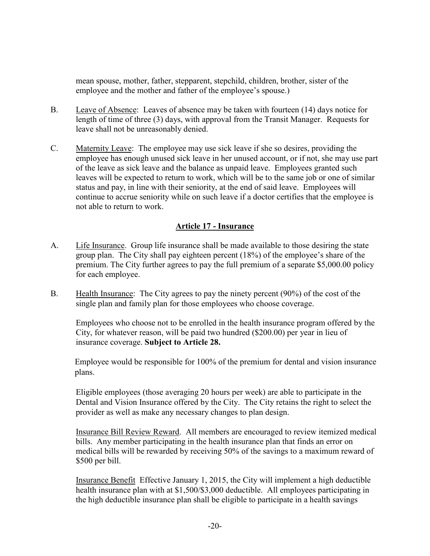mean spouse, mother, father, stepparent, stepchild, children, brother, sister of the employee and the mother and father of the employee's spouse.)

- B. Leave of Absence: Leaves of absence may be taken with fourteen (14) days notice for length of time of three (3) days, with approval from the Transit Manager. Requests for leave shall not be unreasonably denied.
- C. Maternity Leave: The employee may use sick leave if she so desires, providing the employee has enough unused sick leave in her unused account, or if not, she may use part of the leave as sick leave and the balance as unpaid leave. Employees granted such leaves will be expected to return to work, which will be to the same job or one of similar status and pay, in line with their seniority, at the end of said leave. Employees will continue to accrue seniority while on such leave if a doctor certifies that the employee is not able to return to work.

### <span id="page-20-0"></span>**Article 17 - Insurance**

- A. Life Insurance. Group life insurance shall be made available to those desiring the state group plan. The City shall pay eighteen percent (18%) of the employee's share of the premium. The City further agrees to pay the full premium of a separate \$5,000.00 policy for each employee.
- B. Health Insurance: The City agrees to pay the ninety percent (90%) of the cost of the single plan and family plan for those employees who choose coverage.

Employees who choose not to be enrolled in the health insurance program offered by the City, for whatever reason, will be paid two hundred (\$200.00) per year in lieu of insurance coverage. **Subject to Article 28.**

Employee would be responsible for 100% of the premium for dental and vision insurance plans.

Eligible employees (those averaging 20 hours per week) are able to participate in the Dental and Vision Insurance offered by the City. The City retains the right to select the provider as well as make any necessary changes to plan design.

Insurance Bill Review Reward. All members are encouraged to review itemized medical bills. Any member participating in the health insurance plan that finds an error on medical bills will be rewarded by receiving 50% of the savings to a maximum reward of \$500 per bill.

Insurance Benefit Effective January 1, 2015, the City will implement a high deductible health insurance plan with at \$1,500/\$3,000 deductible. All employees participating in the high deductible insurance plan shall be eligible to participate in a health savings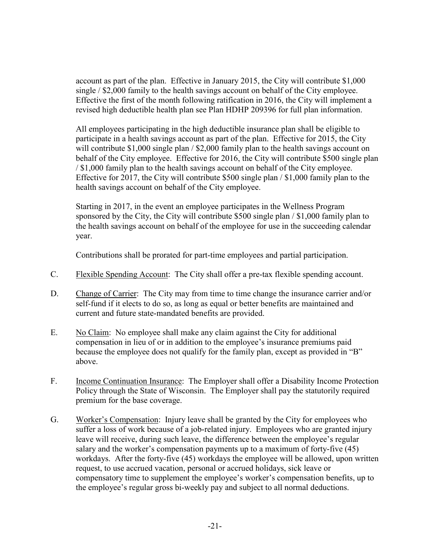account as part of the plan. Effective in January 2015, the City will contribute \$1,000 single / \$2,000 family to the health savings account on behalf of the City employee. Effective the first of the month following ratification in 2016, the City will implement a revised high deductible health plan see Plan HDHP 209396 for full plan information.

All employees participating in the high deductible insurance plan shall be eligible to participate in a health savings account as part of the plan. Effective for 2015, the City will contribute \$1,000 single plan / \$2,000 family plan to the health savings account on behalf of the City employee. Effective for 2016, the City will contribute \$500 single plan / \$1,000 family plan to the health savings account on behalf of the City employee. Effective for 2017, the City will contribute \$500 single plan / \$1,000 family plan to the health savings account on behalf of the City employee.

Starting in 2017, in the event an employee participates in the Wellness Program sponsored by the City, the City will contribute \$500 single plan / \$1,000 family plan to the health savings account on behalf of the employee for use in the succeeding calendar year.

Contributions shall be prorated for part-time employees and partial participation.

- C. Flexible Spending Account: The City shall offer a pre-tax flexible spending account.
- D. Change of Carrier: The City may from time to time change the insurance carrier and/or self-fund if it elects to do so, as long as equal or better benefits are maintained and current and future state-mandated benefits are provided.
- E. No Claim: No employee shall make any claim against the City for additional compensation in lieu of or in addition to the employee's insurance premiums paid because the employee does not qualify for the family plan, except as provided in "B" above.
- F. Income Continuation Insurance: The Employer shall offer a Disability Income Protection Policy through the State of Wisconsin. The Employer shall pay the statutorily required premium for the base coverage.
- G. Worker's Compensation: Injury leave shall be granted by the City for employees who suffer a loss of work because of a job-related injury. Employees who are granted injury leave will receive, during such leave, the difference between the employee's regular salary and the worker's compensation payments up to a maximum of forty-five (45) workdays. After the forty-five (45) workdays the employee will be allowed, upon written request, to use accrued vacation, personal or accrued holidays, sick leave or compensatory time to supplement the employee's worker's compensation benefits, up to the employee's regular gross bi-weekly pay and subject to all normal deductions.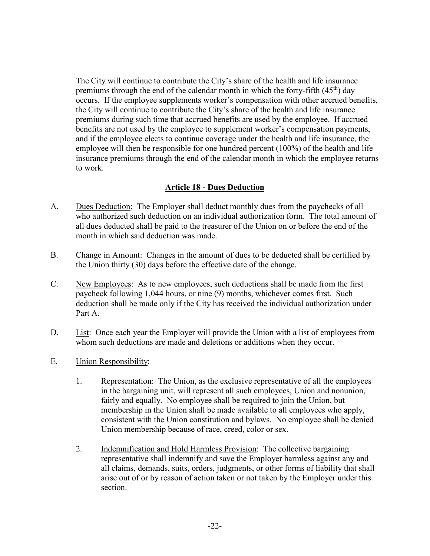The City will continue to contribute the City's share of the health and life insurance premiums through the end of the calendar month in which the forty-fifth  $(45<sup>th</sup>)$  day occurs. If the employee supplements worker's compensation with other accrued benefits, the City will continue to contribute the City's share of the health and life insurance premiums during such time that accrued benefits are used by the employee. If accrued benefits are not used by the employee to supplement worker's compensation payments, and if the employee elects to continue coverage under the health and life insurance, the employee will then be responsible for one hundred percent (100%) of the health and life insurance premiums through the end of the calendar month in which the employee returns to work.

### <span id="page-22-0"></span>**Article 18 - Dues Deduction**

- A. Dues Deduction: The Employer shall deduct monthly dues from the paychecks of all who authorized such deduction on an individual authorization form. The total amount of all dues deducted shall be paid to the treasurer of the Union on or before the end of the month in which said deduction was made.
- B. Change in Amount: Changes in the amount of dues to be deducted shall be certified by the Union thirty (30) days before the effective date of the change.
- C. New Employees: As to new employees, such deductions shall be made from the first paycheck following 1,044 hours, or nine (9) months, whichever comes first. Such deduction shall be made only if the City has received the individual authorization under Part A.
- D. List: Once each year the Employer will provide the Union with a list of employees from whom such deductions are made and deletions or additions when they occur.
- E. Union Responsibility:
	- 1. Representation: The Union, as the exclusive representative of all the employees in the bargaining unit, will represent all such employees, Union and nonunion, fairly and equally. No employee shall be required to join the Union, but membership in the Union shall be made available to all employees who apply, consistent with the Union constitution and bylaws. No employee shall be denied Union membership because of race, creed, color or sex.
	- 2. Indemnification and Hold Harmless Provision: The collective bargaining representative shall indemnify and save the Employer harmless against any and all claims, demands, suits, orders, judgments, or other forms of liability that shall arise out of or by reason of action taken or not taken by the Employer under this section.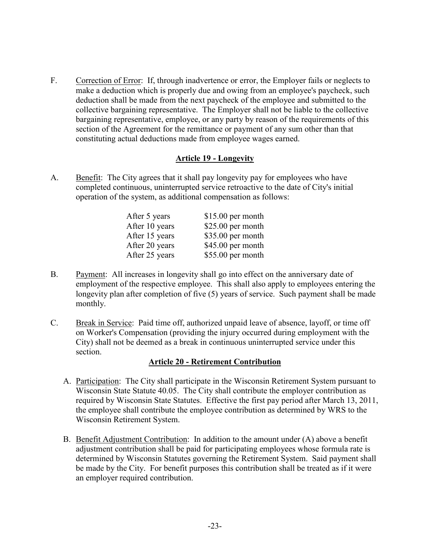F. Correction of Error: If, through inadvertence or error, the Employer fails or neglects to make a deduction which is properly due and owing from an employee's paycheck, such deduction shall be made from the next paycheck of the employee and submitted to the collective bargaining representative. The Employer shall not be liable to the collective bargaining representative, employee, or any party by reason of the requirements of this section of the Agreement for the remittance or payment of any sum other than that constituting actual deductions made from employee wages earned.

#### <span id="page-23-0"></span>**Article 19 - Longevity**

A. Benefit: The City agrees that it shall pay longevity pay for employees who have completed continuous, uninterrupted service retroactive to the date of City's initial operation of the system, as additional compensation as follows:

| \$15.00 per month |
|-------------------|
| \$25.00 per month |
| \$35.00 per month |
| \$45.00 per month |
| \$55.00 per month |
|                   |

- B. Payment: All increases in longevity shall go into effect on the anniversary date of employment of the respective employee. This shall also apply to employees entering the longevity plan after completion of five (5) years of service. Such payment shall be made monthly.
- C. Break in Service: Paid time off, authorized unpaid leave of absence, layoff, or time off on Worker's Compensation (providing the injury occurred during employment with the City) shall not be deemed as a break in continuous uninterrupted service under this section.

#### <span id="page-23-1"></span>**Article 20 - Retirement Contribution**

- A. Participation: The City shall participate in the Wisconsin Retirement System pursuant to Wisconsin State Statute 40.05. The City shall contribute the employer contribution as required by Wisconsin State Statutes. Effective the first pay period after March 13, 2011, the employee shall contribute the employee contribution as determined by WRS to the Wisconsin Retirement System.
- B. Benefit Adjustment Contribution: In addition to the amount under (A) above a benefit adjustment contribution shall be paid for participating employees whose formula rate is determined by Wisconsin Statutes governing the Retirement System. Said payment shall be made by the City. For benefit purposes this contribution shall be treated as if it were an employer required contribution.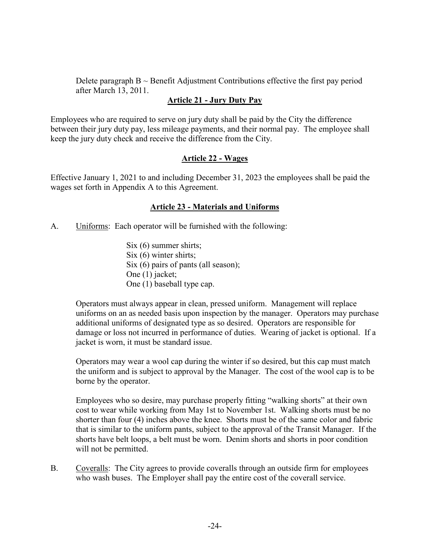Delete paragraph  $B \sim$  Benefit Adjustment Contributions effective the first pay period after March 13, 2011.

### <span id="page-24-0"></span>**Article 21 - Jury Duty Pay**

Employees who are required to serve on jury duty shall be paid by the City the difference between their jury duty pay, less mileage payments, and their normal pay. The employee shall keep the jury duty check and receive the difference from the City.

## <span id="page-24-2"></span><span id="page-24-1"></span>**Article 22 - Wages**

Effective January 1, 2021 to and including December 31, 2023 the employees shall be paid the wages set forth in Appendix A to this Agreement.

#### **Article 23 - Materials and Uniforms**

A. Uniforms: Each operator will be furnished with the following:

Six (6) summer shirts; Six (6) winter shirts; Six (6) pairs of pants (all season); One (1) jacket; One (1) baseball type cap.

Operators must always appear in clean, pressed uniform. Management will replace uniforms on an as needed basis upon inspection by the manager. Operators may purchase additional uniforms of designated type as so desired. Operators are responsible for damage or loss not incurred in performance of duties. Wearing of jacket is optional. If a jacket is worn, it must be standard issue.

Operators may wear a wool cap during the winter if so desired, but this cap must match the uniform and is subject to approval by the Manager. The cost of the wool cap is to be borne by the operator.

Employees who so desire, may purchase properly fitting "walking shorts" at their own cost to wear while working from May 1st to November 1st. Walking shorts must be no shorter than four (4) inches above the knee. Shorts must be of the same color and fabric that is similar to the uniform pants, subject to the approval of the Transit Manager. If the shorts have belt loops, a belt must be worn. Denim shorts and shorts in poor condition will not be permitted.

B. Coveralls: The City agrees to provide coveralls through an outside firm for employees who wash buses. The Employer shall pay the entire cost of the coverall service.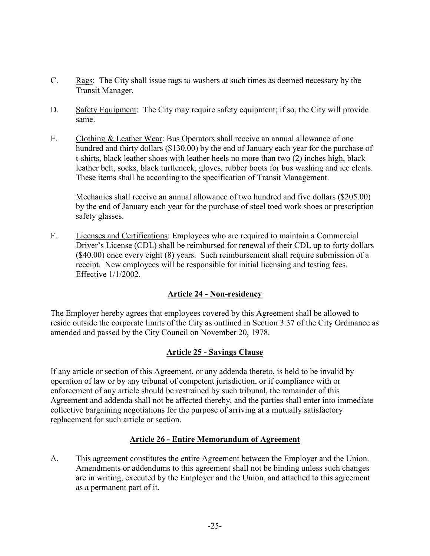- C. Rags: The City shall issue rags to washers at such times as deemed necessary by the Transit Manager.
- D. Safety Equipment: The City may require safety equipment; if so, the City will provide same.
- E. Clothing & Leather Wear: Bus Operators shall receive an annual allowance of one hundred and thirty dollars (\$130.00) by the end of January each year for the purchase of t-shirts, black leather shoes with leather heels no more than two (2) inches high, black leather belt, socks, black turtleneck, gloves, rubber boots for bus washing and ice cleats. These items shall be according to the specification of Transit Management.

Mechanics shall receive an annual allowance of two hundred and five dollars (\$205.00) by the end of January each year for the purchase of steel toed work shoes or prescription safety glasses.

F. Licenses and Certifications: Employees who are required to maintain a Commercial Driver's License (CDL) shall be reimbursed for renewal of their CDL up to forty dollars (\$40.00) once every eight (8) years. Such reimbursement shall require submission of a receipt. New employees will be responsible for initial licensing and testing fees. Effective 1/1/2002.

### <span id="page-25-0"></span>**Article 24 - Non-residency**

The Employer hereby agrees that employees covered by this Agreement shall be allowed to reside outside the corporate limits of the City as outlined in Section 3.37 of the City Ordinance as amended and passed by the City Council on November 20, 1978.

### <span id="page-25-2"></span><span id="page-25-1"></span>**Article 25 - Savings Clause**

If any article or section of this Agreement, or any addenda thereto, is held to be invalid by operation of law or by any tribunal of competent jurisdiction, or if compliance with or enforcement of any article should be restrained by such tribunal, the remainder of this Agreement and addenda shall not be affected thereby, and the parties shall enter into immediate collective bargaining negotiations for the purpose of arriving at a mutually satisfactory replacement for such article or section.

### **Article 26 - Entire Memorandum of Agreement**

A. This agreement constitutes the entire Agreement between the Employer and the Union. Amendments or addendums to this agreement shall not be binding unless such changes are in writing, executed by the Employer and the Union, and attached to this agreement as a permanent part of it.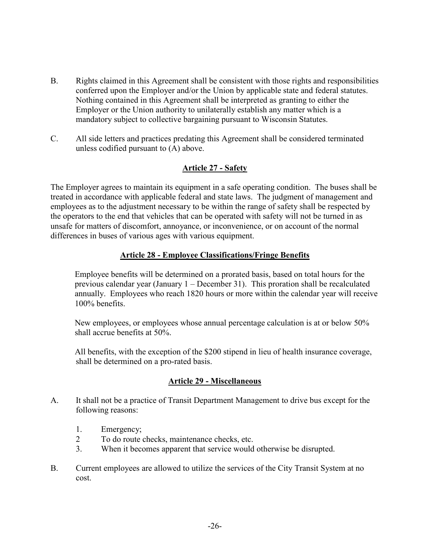- B. Rights claimed in this Agreement shall be consistent with those rights and responsibilities conferred upon the Employer and/or the Union by applicable state and federal statutes. Nothing contained in this Agreement shall be interpreted as granting to either the Employer or the Union authority to unilaterally establish any matter which is a mandatory subject to collective bargaining pursuant to Wisconsin Statutes.
- C. All side letters and practices predating this Agreement shall be considered terminated unless codified pursuant to (A) above.

## <span id="page-26-1"></span><span id="page-26-0"></span>**Article 27 - Safety**

The Employer agrees to maintain its equipment in a safe operating condition. The buses shall be treated in accordance with applicable federal and state laws. The judgment of management and employees as to the adjustment necessary to be within the range of safety shall be respected by the operators to the end that vehicles that can be operated with safety will not be turned in as unsafe for matters of discomfort, annoyance, or inconvenience, or on account of the normal differences in buses of various ages with various equipment.

### **Article 28 - Employee Classifications/Fringe Benefits**

Employee benefits will be determined on a prorated basis, based on total hours for the previous calendar year (January 1 – December 31). This proration shall be recalculated annually. Employees who reach 1820 hours or more within the calendar year will receive 100% benefits.

New employees, or employees whose annual percentage calculation is at or below 50% shall accrue benefits at 50%.

All benefits, with the exception of the \$200 stipend in lieu of health insurance coverage, shall be determined on a pro-rated basis.

#### <span id="page-26-2"></span>**Article 29 - Miscellaneous**

- A. It shall not be a practice of Transit Department Management to drive bus except for the following reasons:
	- 1. Emergency;
	- 2 To do route checks, maintenance checks, etc.
	- 3. When it becomes apparent that service would otherwise be disrupted.
- B. Current employees are allowed to utilize the services of the City Transit System at no cost.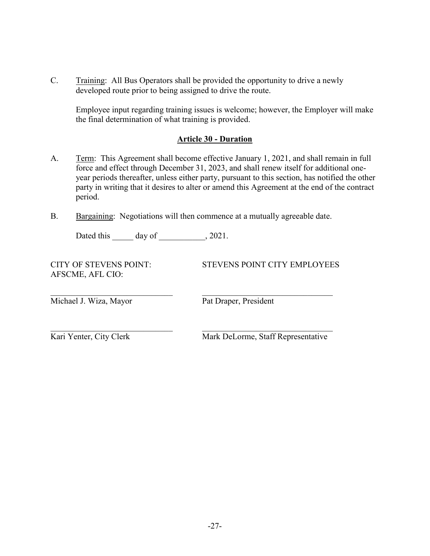C. Training: All Bus Operators shall be provided the opportunity to drive a newly developed route prior to being assigned to drive the route.

Employee input regarding training issues is welcome; however, the Employer will make the final determination of what training is provided.

#### <span id="page-27-0"></span>**Article 30 - Duration**

- A. Term: This Agreement shall become effective January 1, 2021, and shall remain in full force and effect through December 31, 2023, and shall renew itself for additional oneyear periods thereafter, unless either party, pursuant to this section, has notified the other party in writing that it desires to alter or amend this Agreement at the end of the contract period.
- B. Bargaining: Negotiations will then commence at a mutually agreeable date.

Dated this day of  $\qquad \qquad$ , 2021.

AFSCME, AFL CIO:

CITY OF STEVENS POINT: STEVENS POINT CITY EMPLOYEES

Michael J. Wiza, Mayor Pat Draper, President

 $\_$  , and the set of the set of the set of the set of the set of the set of the set of the set of the set of the set of the set of the set of the set of the set of the set of the set of the set of the set of the set of th

Kari Yenter, City Clerk Mark DeLorme, Staff Representative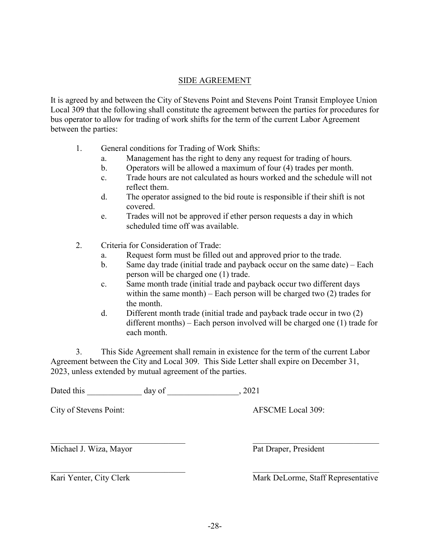### SIDE AGREEMENT

It is agreed by and between the City of Stevens Point and Stevens Point Transit Employee Union Local 309 that the following shall constitute the agreement between the parties for procedures for bus operator to allow for trading of work shifts for the term of the current Labor Agreement between the parties:

- 1. General conditions for Trading of Work Shifts:
	- a. Management has the right to deny any request for trading of hours.
	- b. Operators will be allowed a maximum of four (4) trades per month.
	- c. Trade hours are not calculated as hours worked and the schedule will not reflect them.
	- d. The operator assigned to the bid route is responsible if their shift is not covered.
	- e. Trades will not be approved if ether person requests a day in which scheduled time off was available.
- 2. Criteria for Consideration of Trade:
	- a. Request form must be filled out and approved prior to the trade.
	- b. Same day trade (initial trade and payback occur on the same date) Each person will be charged one (1) trade.
	- c. Same month trade (initial trade and payback occur two different days within the same month) – Each person will be charged two  $(2)$  trades for the month.
	- d. Different month trade (initial trade and payback trade occur in two (2) different months) – Each person involved will be charged one (1) trade for each month.

3. This Side Agreement shall remain in existence for the term of the current Labor Agreement between the City and Local 309. This Side Letter shall expire on December 31, 2023, unless extended by mutual agreement of the parties.

Dated this day of the control of the control of the control of the control of the control of the control of the control of the control of the control of the control of the control of the control of the control of the contr

City of Stevens Point: AFSCME Local 309:

Michael J. Wiza, Mayor Pat Draper, President

Kari Yenter, City Clerk Mark DeLorme, Staff Representative

 $\mathcal{L}_\text{max}$  , and the contribution of the contribution of the contribution of the contribution of the contribution of the contribution of the contribution of the contribution of the contribution of the contribution of t

 $\mathcal{L}_\text{max}$  , and the contribution of the contribution of the contribution of the contribution of the contribution of the contribution of the contribution of the contribution of the contribution of the contribution of t